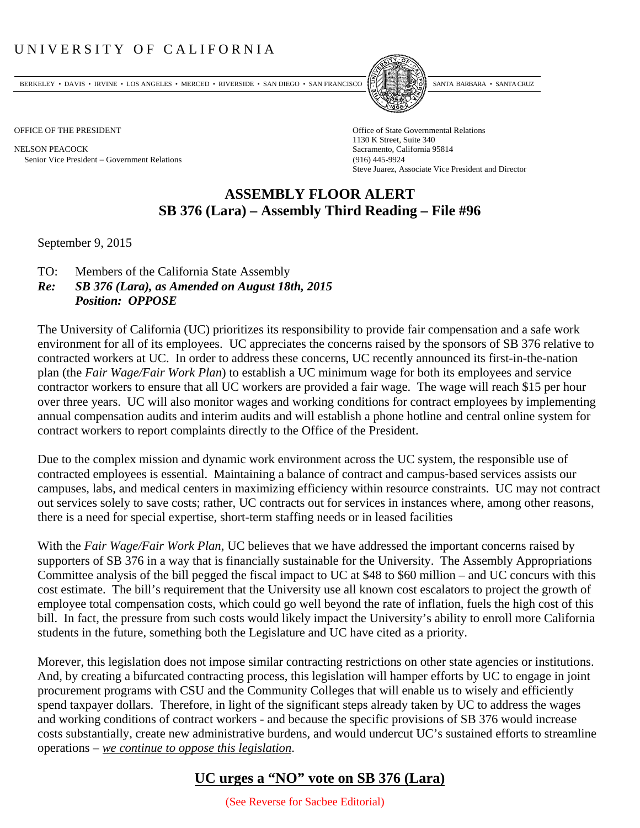## UNIVERSITY OF CALIFORNIA

BERKELEY • DAVIS • IRVINE • LOS ANGELES • MERCED • RIVERSIDE • SAN DIEGO • SAN FRANCISCO PARTA EXIMITAL BARBARA • SANTA CRUZ

NELSON PEACOCK Sacramento, California 95814 Senior Vice President Government Relations (916) 445-9924



OFFICE OF THE PRESIDENT STATES OF THE PRESIDENT 1130 K Street, Suite 340 Steve Juarez, Associate Vice President and Director

## **ASSEMBLY FLOOR ALERT SB 376 (Lara) – Assembly Third Reading – File #96**

September 9, 2015

- TO: Members of the California State Assembly
- *Re: SB 376 (Lara), as Amended on August 18th, 2015 Position: OPPOSE*

The University of California (UC) prioritizes its responsibility to provide fair compensation and a safe work environment for all of its employees. UC appreciates the concerns raised by the sponsors of SB 376 relative to contracted workers at UC. In order to address these concerns, UC recently announced its first-in-the-nation plan (the *Fair Wage/Fair Work Plan*) to establish a UC minimum wage for both its employees and service contractor workers to ensure that all UC workers are provided a fair wage. The wage will reach \$15 per hour over three years. UC will also monitor wages and working conditions for contract employees by implementing annual compensation audits and interim audits and will establish a phone hotline and central online system for contract workers to report complaints directly to the Office of the President.

Due to the complex mission and dynamic work environment across the UC system, the responsible use of contracted employees is essential. Maintaining a balance of contract and campus‐based services assists our campuses, labs, and medical centers in maximizing efficiency within resource constraints. UC may not contract out services solely to save costs; rather, UC contracts out for services in instances where, among other reasons, there is a need for special expertise, short-term staffing needs or in leased facilities

With the *Fair Wage/Fair Work Plan*, UC believes that we have addressed the important concerns raised by supporters of SB 376 in a way that is financially sustainable for the University. The Assembly Appropriations Committee analysis of the bill pegged the fiscal impact to UC at \$48 to \$60 million – and UC concurs with this cost estimate. The bill's requirement that the University use all known cost escalators to project the growth of employee total compensation costs, which could go well beyond the rate of inflation, fuels the high cost of this bill. In fact, the pressure from such costs would likely impact the University's ability to enroll more California students in the future, something both the Legislature and UC have cited as a priority.

Morever, this legislation does not impose similar contracting restrictions on other state agencies or institutions. And, by creating a bifurcated contracting process, this legislation will hamper efforts by UC to engage in joint procurement programs with CSU and the Community Colleges that will enable us to wisely and efficiently spend taxpayer dollars. Therefore, in light of the significant steps already taken by UC to address the wages and working conditions of contract workers - and because the specific provisions of SB 376 would increase costs substantially, create new administrative burdens, and would undercut UC's sustained efforts to streamline operations – *we continue to oppose this legislation*.

## **UC urges a "NO" vote on SB 376 (Lara)**